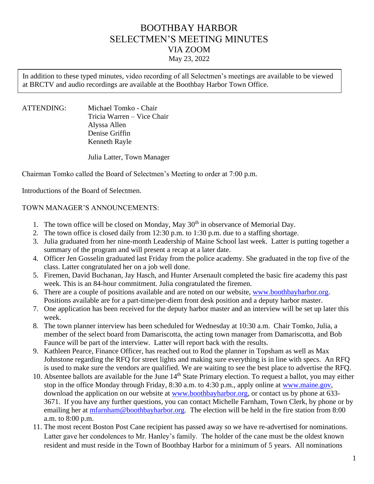# BOOTHBAY HARBOR SELECTMEN'S MEETING MINUTES VIA ZOOM May 23, 2022

In addition to these typed minutes, video recording of all Selectmen's meetings are available to be viewed at BRCTV and audio recordings are available at the Boothbay Harbor Town Office.

ATTENDING: Michael Tomko - Chair Tricia Warren – Vice Chair Alyssa Allen Denise Griffin Kenneth Rayle

Julia Latter, Town Manager

Chairman Tomko called the Board of Selectmen's Meeting to order at 7:00 p.m.

Introductions of the Board of Selectmen.

#### TOWN MANAGER'S ANNOUNCEMENTS:

- 1. The town office will be closed on Monday, May  $30<sup>th</sup>$  in observance of Memorial Day.
- 2. The town office is closed daily from 12:30 p.m. to 1:30 p.m. due to a staffing shortage.
- 3. Julia graduated from her nine-month Leadership of Maine School last week. Latter is putting together a summary of the program and will present a recap at a later date.
- 4. Officer Jen Gosselin graduated last Friday from the police academy. She graduated in the top five of the class. Latter congratulated her on a job well done.
- 5. Firemen, David Buchanan, Jay Hasch, and Hunter Arsenault completed the basic fire academy this past week. This is an 84-hour commitment. Julia congratulated the firemen.
- 6. There are a couple of positions available and are noted on our website, [www.boothbayharbor.org.](http://www.boothbayharbor.org/) Positions available are for a part-time/per-diem front desk position and a deputy harbor master.
- 7. One application has been received for the deputy harbor master and an interview will be set up later this week.
- 8. The town planner interview has been scheduled for Wednesday at 10:30 a.m. Chair Tomko, Julia, a member of the select board from Damariscotta, the acting town manager from Damariscotta, and Bob Faunce will be part of the interview. Latter will report back with the results.
- 9. Kathleen Pearce, Finance Officer, has reached out to Rod the planner in Topsham as well as Max Johnstone regarding the RFQ for street lights and making sure everything is in line with specs. An RFQ is used to make sure the vendors are qualified. We are waiting to see the best place to advertise the RFQ.
- 10. Absentee ballots are available for the June 14<sup>th</sup> State Primary election. To request a ballot, you may either stop in the office Monday through Friday, 8:30 a.m. to 4:30 p.m., apply online at [www.maine.gov,](http://www.maine.gov/) download the application on our website at [www.boothbayharbor.org,](http://www.boothbayharbor.org/) or contact us by phone at 633- 3671. If you have any further questions, you can contact Michelle Farnham, Town Clerk, by phone or by emailing her at [mfarnham@boothbayharbor.org.](mailto:mfarnham@boothbayharbor.org) The election will be held in the fire station from 8:00 a.m. to 8:00 p.m.
- 11. The most recent Boston Post Cane recipient has passed away so we have re-advertised for nominations. Latter gave her condolences to Mr. Hanley's family. The holder of the cane must be the oldest known resident and must reside in the Town of Boothbay Harbor for a minimum of 5 years. All nominations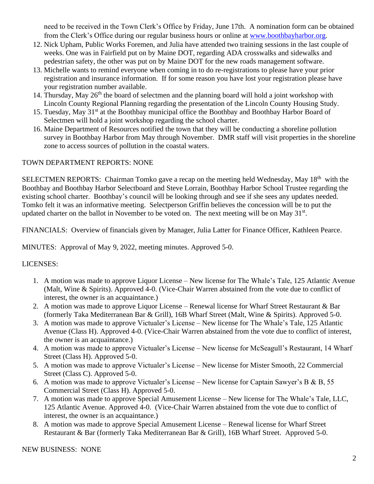need to be received in the Town Clerk's Office by Friday, June 17th. A nomination form can be obtained from the Clerk's Office during our regular business hours or online at [www.boothbayharbor.org.](http://www.boothbayharbor.org/)

- 12. Nick Upham, Public Works Foremen, and Julia have attended two training sessions in the last couple of weeks. One was in Fairfield put on by Maine DOT, regarding ADA crosswalks and sidewalks and pedestrian safety, the other was put on by Maine DOT for the new roads management software.
- 13. Michelle wants to remind everyone when coming in to do re-registrations to please have your prior registration and insurance information. If for some reason you have lost your registration please have your registration number available.
- 14. Thursday, May  $26<sup>th</sup>$  the board of selectmen and the planning board will hold a joint workshop with Lincoln County Regional Planning regarding the presentation of the Lincoln County Housing Study.
- 15. Tuesday, May 31<sup>st</sup> at the Boothbay municipal office the Boothbay and Boothbay Harbor Board of Selectmen will hold a joint workshop regarding the school charter.
- 16. Maine Department of Resources notified the town that they will be conducting a shoreline pollution survey in Boothbay Harbor from May through November. DMR staff will visit properties in the shoreline zone to access sources of pollution in the coastal waters.

## TOWN DEPARTMENT REPORTS: NONE

SELECTMEN REPORTS: Chairman Tomko gave a recap on the meeting held Wednesday, May 18<sup>th</sup> with the Boothbay and Boothbay Harbor Selectboard and Steve Lorrain, Boothbay Harbor School Trustee regarding the existing school charter. Boothbay's council will be looking through and see if she sees any updates needed. Tomko felt it was an informative meeting. Selectperson Griffin believes the concession will be to put the updated charter on the ballot in November to be voted on. The next meeting will be on May  $31<sup>st</sup>$ .

FINANCIALS: Overview of financials given by Manager, Julia Latter for Finance Officer, Kathleen Pearce.

MINUTES: Approval of May 9, 2022, meeting minutes. Approved 5-0.

#### LICENSES:

- 1. A motion was made to approve Liquor License New license for The Whale's Tale, 125 Atlantic Avenue (Malt, Wine & Spirits). Approved 4-0. (Vice-Chair Warren abstained from the vote due to conflict of interest, the owner is an acquaintance.)
- 2. A motion was made to approve Liquor License Renewal license for Wharf Street Restaurant & Bar (formerly Taka Mediterranean Bar & Grill), 16B Wharf Street (Malt, Wine & Spirits). Approved 5-0.
- 3. A motion was made to approve Victualer's License New license for The Whale's Tale, 125 Atlantic Avenue (Class H). Approved 4-0. (Vice-Chair Warren abstained from the vote due to conflict of interest, the owner is an acquaintance.)
- 4. A motion was made to approve Victualer's License New license for McSeagull's Restaurant, 14 Wharf Street (Class H). Approved 5-0.
- 5. A motion was made to approve Victualer's License New license for Mister Smooth, 22 Commercial Street (Class C). Approved 5-0.
- 6. A motion was made to approve Victualer's License New license for Captain Sawyer's B & B, 55 Commercial Street (Class H). Approved 5-0.
- 7. A motion was made to approve Special Amusement License New license for The Whale's Tale, LLC, 125 Atlantic Avenue. Approved 4-0. (Vice-Chair Warren abstained from the vote due to conflict of interest, the owner is an acquaintance.)
- 8. A motion was made to approve Special Amusement License Renewal license for Wharf Street Restaurant & Bar (formerly Taka Mediterranean Bar & Grill), 16B Wharf Street. Approved 5-0.